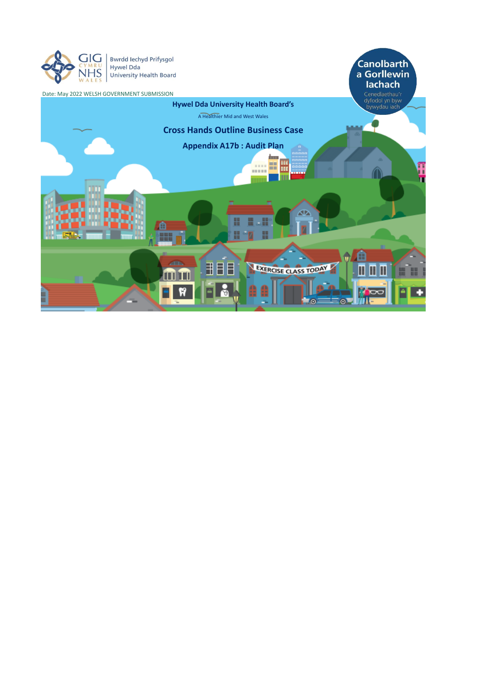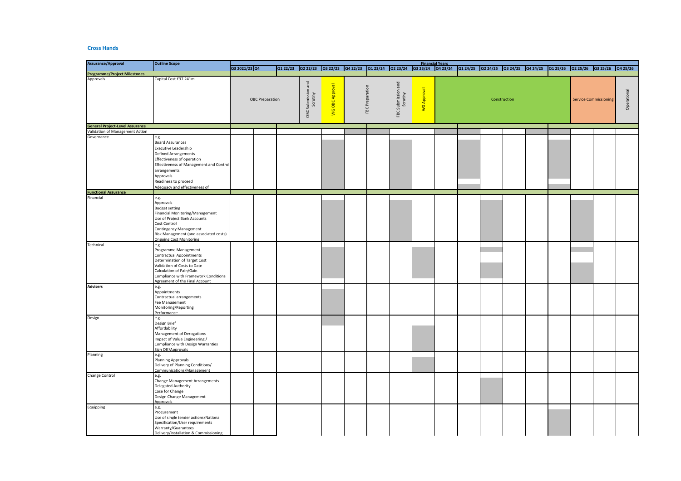## **Cross Hands**

| <b>Assurance/Approval</b>                        | <b>Outline Scope</b>                                                                                                                                                                                                                           |                        |  |                                     |                   |                 |                                |  |             | <b>Financial Years</b> |  |                                                                                                                                         |  |  |  |                              |  |             |  |  |
|--------------------------------------------------|------------------------------------------------------------------------------------------------------------------------------------------------------------------------------------------------------------------------------------------------|------------------------|--|-------------------------------------|-------------------|-----------------|--------------------------------|--|-------------|------------------------|--|-----------------------------------------------------------------------------------------------------------------------------------------|--|--|--|------------------------------|--|-------------|--|--|
|                                                  |                                                                                                                                                                                                                                                | Q3 2021/23 Q4          |  |                                     |                   |                 |                                |  |             |                        |  | 0122/23 0222/23 0322/23 0422/23 0123/24 0223/24 0323/24 0423/24 0124/25 0224/25 0324/25 0424/25 0424/25 0425/26 0225/26 0325/26 0325/26 |  |  |  |                              |  |             |  |  |
| <b>Programme/Project Milestones</b><br>Approvals |                                                                                                                                                                                                                                                |                        |  |                                     |                   |                 |                                |  |             |                        |  |                                                                                                                                         |  |  |  |                              |  |             |  |  |
|                                                  | Capital Cost £37.241m                                                                                                                                                                                                                          | <b>OBC Preparation</b> |  | and<br>OBC Submission a<br>Scrutiny | OBC Approval<br>g | FBC Preparation | FBC Submission and<br>Scrutiny |  | WG Approval |                        |  | Construction                                                                                                                            |  |  |  | <b>Service Commissioning</b> |  | Operational |  |  |
| <b>General Project-Level Assurance</b>           |                                                                                                                                                                                                                                                |                        |  |                                     |                   |                 |                                |  |             |                        |  |                                                                                                                                         |  |  |  |                              |  |             |  |  |
| Validation of Management Action                  |                                                                                                                                                                                                                                                |                        |  |                                     |                   |                 |                                |  |             |                        |  |                                                                                                                                         |  |  |  |                              |  |             |  |  |
| Governance                                       | e.g.<br><b>Board Assurances</b><br>Executive Leadership<br>Defined Arrangements<br>Effectiveness of operation<br>Effectiveness of Management and Control<br>arrangements<br>Approvals<br>Readiness to proceed<br>Adequacy and effectiveness of |                        |  |                                     |                   |                 |                                |  |             |                        |  |                                                                                                                                         |  |  |  |                              |  |             |  |  |
| <b>Functional Assurance</b>                      |                                                                                                                                                                                                                                                |                        |  |                                     |                   |                 |                                |  |             |                        |  |                                                                                                                                         |  |  |  |                              |  |             |  |  |
| Financial                                        | e.g.<br>Approvals<br><b>Budget setting</b><br>Financial Monitoring/Management<br>Use of Project Bank Accounts<br>Cost Control<br>Contingency Management<br>Risk Management (and associated costs)<br><b>Ongoing Cost Monitoring</b>            |                        |  |                                     |                   |                 |                                |  |             |                        |  |                                                                                                                                         |  |  |  |                              |  |             |  |  |
| Technical                                        | e.g.                                                                                                                                                                                                                                           |                        |  |                                     |                   |                 |                                |  |             |                        |  |                                                                                                                                         |  |  |  |                              |  |             |  |  |
|                                                  | Programme Management<br><b>Contractual Appointments</b><br>Determination of Target Cost<br>Validation of Costs to Date<br>Calculation of Pain/Gain<br>Compliance with Framework Conditions<br>Agreement of the Final Account                   |                        |  |                                     |                   |                 |                                |  |             |                        |  |                                                                                                                                         |  |  |  |                              |  |             |  |  |
| <b>Advisers</b>                                  | e.g.<br>Appointments<br>Contractual arrangements<br>Fee Management<br>Monitoring/Reporting<br>Performance                                                                                                                                      |                        |  |                                     |                   |                 |                                |  |             |                        |  |                                                                                                                                         |  |  |  |                              |  |             |  |  |
| Design                                           | e.g.<br>Design Brief<br>Affordability<br>Management of Derogations<br>Impact of Value Engineering /<br>Compliance with Design Warranties<br>Sign Off/Approvals                                                                                 |                        |  |                                     |                   |                 |                                |  |             |                        |  |                                                                                                                                         |  |  |  |                              |  |             |  |  |
| Planning                                         | e.g.<br><b>Planning Approvals</b><br>Delivery of Planning Conditions/<br>Communications/Management                                                                                                                                             |                        |  |                                     |                   |                 |                                |  |             |                        |  |                                                                                                                                         |  |  |  |                              |  |             |  |  |
| Change Control                                   | e.g.<br><b>Change Management Arrangements</b><br>Delegated Authority<br>Case for Change<br>Design Change Management<br><b>Approvals</b>                                                                                                        |                        |  |                                     |                   |                 |                                |  |             |                        |  |                                                                                                                                         |  |  |  |                              |  |             |  |  |
| Equipping                                        | e.g.<br>Procurement<br>Use of single tender actions/National<br>Specification/User requirements<br>Warranty/Guarantees<br>Delivery/Installation & Commissioning                                                                                |                        |  |                                     |                   |                 |                                |  |             |                        |  |                                                                                                                                         |  |  |  |                              |  |             |  |  |